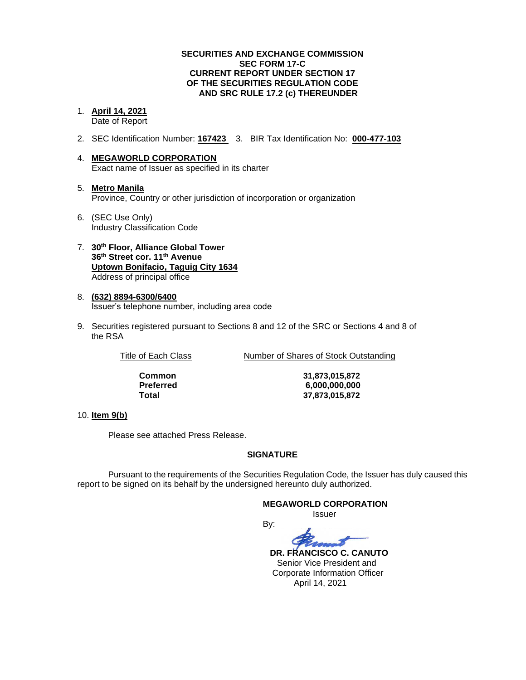#### **SECURITIES AND EXCHANGE COMMISSION SEC FORM 17-C CURRENT REPORT UNDER SECTION 17 OF THE SECURITIES REGULATION CODE AND SRC RULE 17.2 (c) THEREUNDER**

#### 1. **April 14, 2021** Date of Report

- 2. SEC Identification Number: **167423** 3. BIR Tax Identification No: **000-477-103**
- 4. **MEGAWORLD CORPORATION** Exact name of Issuer as specified in its charter
- 5. **Metro Manila** Province, Country or other jurisdiction of incorporation or organization
- 6. (SEC Use Only) Industry Classification Code
- 7. **30th Floor, Alliance Global Tower 36th Street cor. 11th Avenue Uptown Bonifacio, Taguig City 1634** Address of principal office
- 8. **(632) 8894-6300/6400** Issuer's telephone number, including area code
- 9. Securities registered pursuant to Sections 8 and 12 of the SRC or Sections 4 and 8 of the RSA

Title of Each Class Number of Shares of Stock Outstanding

**Common 31,873,015,872 Preferred 6,000,000,000 Total 37,873,015,872**

### 10. **Item 9(b)**

Please see attached Press Release.

### **SIGNATURE**

Pursuant to the requirements of the Securities Regulation Code, the Issuer has duly caused this report to be signed on its behalf by the undersigned hereunto duly authorized.

#### **MEGAWORLD CORPORATION**

Issuer

By:

 **DR. FRANCISCO C. CANUTO**

 Senior Vice President and Corporate Information Officer April 14, 2021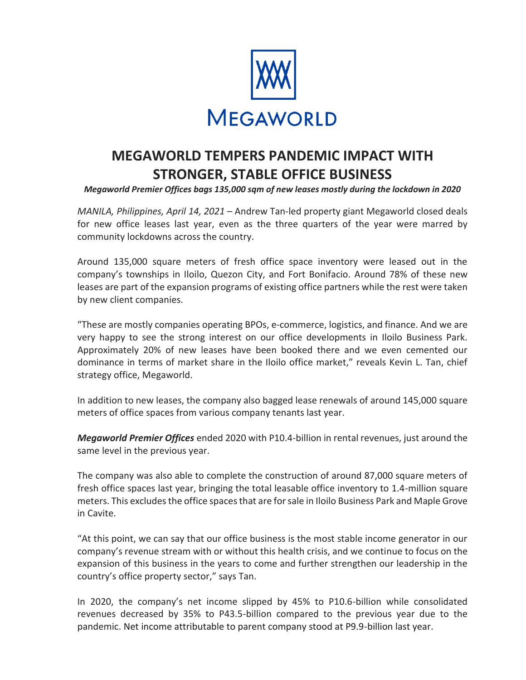

# **MEGAWORLD TEMPERS PANDEMIC IMPACT WITH STRONGER, STABLE OFFICE BUSINESS**

*Megaworld Premier Offices bags 135,000 sqm of new leases mostly during the lockdown in 2020*

*MANILA, Philippines, April 14, 2021* – Andrew Tan-led property giant Megaworld closed deals for new office leases last year, even as the three quarters of the year were marred by community lockdowns across the country.

Around 135,000 square meters of fresh office space inventory were leased out in the company's townships in Iloilo, Quezon City, and Fort Bonifacio. Around 78% of these new leases are part of the expansion programs of existing office partners while the rest were taken by new client companies.

"These are mostly companies operating BPOs, e-commerce, logistics, and finance. And we are very happy to see the strong interest on our office developments in Iloilo Business Park. Approximately 20% of new leases have been booked there and we even cemented our dominance in terms of market share in the Iloilo office market," reveals Kevin L. Tan, chief strategy office, Megaworld.

In addition to new leases, the company also bagged lease renewals of around 145,000 square meters of office spaces from various company tenants last year.

*Megaworld Premier Offices* ended 2020 with P10.4-billion in rental revenues, just around the same level in the previous year.

The company was also able to complete the construction of around 87,000 square meters of fresh office spaces last year, bringing the total leasable office inventory to 1.4-million square meters. This excludes the office spaces that are for sale in Iloilo Business Park and Maple Grove in Cavite.

"At this point, we can say that our office business is the most stable income generator in our company's revenue stream with or without this health crisis, and we continue to focus on the expansion of this business in the years to come and further strengthen our leadership in the country's office property sector," says Tan.

In 2020, the company's net income slipped by 45% to P10.6-billion while consolidated revenues decreased by 35% to P43.5-billion compared to the previous year due to the pandemic. Net income attributable to parent company stood at P9.9-billion last year.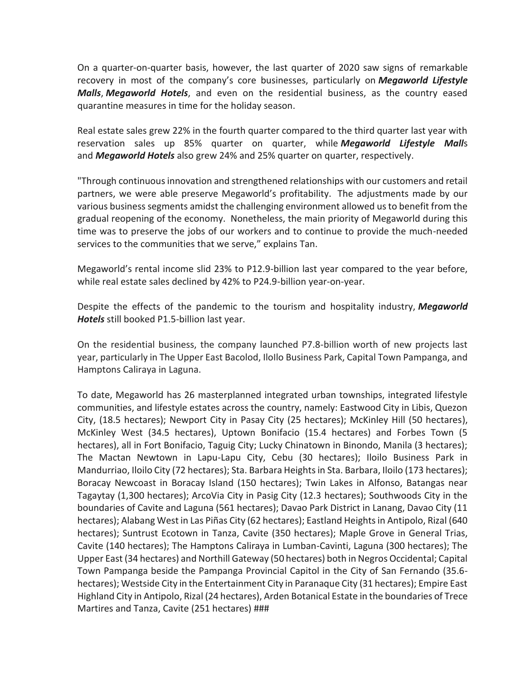On a quarter-on-quarter basis, however, the last quarter of 2020 saw signs of remarkable recovery in most of the company's core businesses, particularly on *Megaworld Lifestyle Malls*, *Megaworld Hotels*, and even on the residential business, as the country eased quarantine measures in time for the holiday season.

Real estate sales grew 22% in the fourth quarter compared to the third quarter last year with reservation sales up 85% quarter on quarter, while *Megaworld Lifestyle Mall*s and *Megaworld Hotels* also grew 24% and 25% quarter on quarter, respectively.

"Through continuous innovation and strengthened relationships with our customers and retail partners, we were able preserve Megaworld's profitability. The adjustments made by our various business segments amidst the challenging environment allowed us to benefit from the gradual reopening of the economy. Nonetheless, the main priority of Megaworld during this time was to preserve the jobs of our workers and to continue to provide the much-needed services to the communities that we serve," explains Tan.

Megaworld's rental income slid 23% to P12.9-billion last year compared to the year before, while real estate sales declined by 42% to P24.9-billion year-on-year.

Despite the effects of the pandemic to the tourism and hospitality industry, *Megaworld Hotels* still booked P1.5-billion last year.

On the residential business, the company launched P7.8-billion worth of new projects last year, particularly in The Upper East Bacolod, IloIlo Business Park, Capital Town Pampanga, and Hamptons Caliraya in Laguna.

To date, Megaworld has 26 masterplanned integrated urban townships, integrated lifestyle communities, and lifestyle estates across the country, namely: Eastwood City in Libis, Quezon City, (18.5 hectares); Newport City in Pasay City (25 hectares); McKinley Hill (50 hectares), McKinley West (34.5 hectares), Uptown Bonifacio (15.4 hectares) and Forbes Town (5 hectares), all in Fort Bonifacio, Taguig City; Lucky Chinatown in Binondo, Manila (3 hectares); The Mactan Newtown in Lapu-Lapu City, Cebu (30 hectares); Iloilo Business Park in Mandurriao, Iloilo City (72 hectares); Sta. Barbara Heights in Sta. Barbara, Iloilo (173 hectares); Boracay Newcoast in Boracay Island (150 hectares); Twin Lakes in Alfonso, Batangas near Tagaytay (1,300 hectares); ArcoVia City in Pasig City (12.3 hectares); Southwoods City in the boundaries of Cavite and Laguna (561 hectares); Davao Park District in Lanang, Davao City (11 hectares); Alabang West in Las Piñas City (62 hectares); Eastland Heights in Antipolo, Rizal (640 hectares); Suntrust Ecotown in Tanza, Cavite (350 hectares); Maple Grove in General Trias, Cavite (140 hectares); The Hamptons Caliraya in Lumban-Cavinti, Laguna (300 hectares); The Upper East (34 hectares) and Northill Gateway (50 hectares) both in Negros Occidental; Capital Town Pampanga beside the Pampanga Provincial Capitol in the City of San Fernando (35.6 hectares); Westside City in the Entertainment City in Paranaque City (31 hectares); Empire East Highland City in Antipolo, Rizal (24 hectares), Arden Botanical Estate in the boundaries of Trece Martires and Tanza, Cavite (251 hectares) ###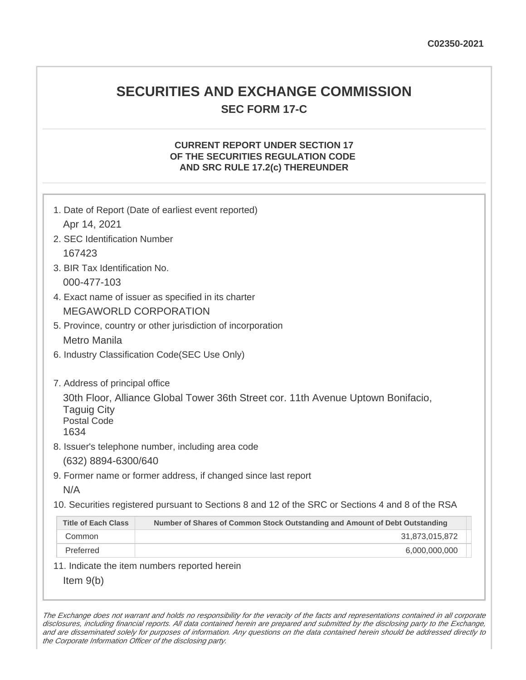# **SECURITIES AND EXCHANGE COMMISSION SEC FORM 17-C**

## **CURRENT REPORT UNDER SECTION 17 OF THE SECURITIES REGULATION CODE AND SRC RULE 17.2(c) THEREUNDER**

| 1. Date of Report (Date of earliest event reported)<br>Apr 14, 2021                                                                                                    |                                                                             |  |
|------------------------------------------------------------------------------------------------------------------------------------------------------------------------|-----------------------------------------------------------------------------|--|
| 2. SEC Identification Number                                                                                                                                           |                                                                             |  |
| 167423                                                                                                                                                                 |                                                                             |  |
| 3. BIR Tax Identification No.                                                                                                                                          |                                                                             |  |
| 000-477-103                                                                                                                                                            |                                                                             |  |
| 4. Exact name of issuer as specified in its charter                                                                                                                    |                                                                             |  |
| <b>MEGAWORLD CORPORATION</b>                                                                                                                                           |                                                                             |  |
| 5. Province, country or other jurisdiction of incorporation                                                                                                            |                                                                             |  |
| <b>Metro Manila</b>                                                                                                                                                    |                                                                             |  |
| 6. Industry Classification Code(SEC Use Only)                                                                                                                          |                                                                             |  |
| 7. Address of principal office<br>30th Floor, Alliance Global Tower 36th Street cor. 11th Avenue Uptown Bonifacio,<br><b>Taguig City</b><br><b>Postal Code</b><br>1634 |                                                                             |  |
| 8. Issuer's telephone number, including area code                                                                                                                      |                                                                             |  |
| (632) 8894-6300/640                                                                                                                                                    |                                                                             |  |
| N/A                                                                                                                                                                    | 9. Former name or former address, if changed since last report              |  |
|                                                                                                                                                                        |                                                                             |  |
| 10. Securities registered pursuant to Sections 8 and 12 of the SRC or Sections 4 and 8 of the RSA                                                                      |                                                                             |  |
| <b>Title of Each Class</b>                                                                                                                                             | Number of Shares of Common Stock Outstanding and Amount of Debt Outstanding |  |
| Common                                                                                                                                                                 | 31,873,015,872                                                              |  |
| Preferred                                                                                                                                                              | 6,000,000,000                                                               |  |
|                                                                                                                                                                        | 11. Indicate the item numbers reported herein                               |  |
| Item $9(b)$                                                                                                                                                            |                                                                             |  |

The Exchange does not warrant and holds no responsibility for the veracity of the facts and representations contained in all corporate disclosures, including financial reports. All data contained herein are prepared and submitted by the disclosing party to the Exchange, and are disseminated solely for purposes of information. Any questions on the data contained herein should be addressed directly to the Corporate Information Officer of the disclosing party.